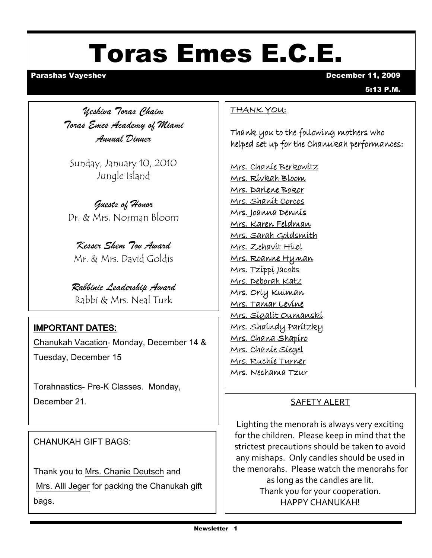# Toras Emes E.C.E.

#### Parashas Vayeshev December 11, 2009

5:13 P.M.

Yeshiva Toras Chaim Toras Emes Academy of Miami Annual Dinner

Sunday, January 10, 2010 Jungle Island

Guests of Honor Dr. & Mrs. Norman Bloom

Kesser Shem Tov Award Mr. & Mrs. David Goldis

Rabbinic Leadership Award Rabbi & Mrs. Neal Turk

#### **IMPORTANT DATES:**

Chanukah Vacation- Monday, December 14 & Tuesday, December 15

Torahnastics- Pre-K Classes. Monday, December 21.

#### CHANUKAH GIFT BAGS:

Thank you to Mrs. Chanie Deutsch and Mrs. Alli Jeger for packing the Chanukah gift bags.

#### THANK YOU:

Thank you to the following mothers who helped set up for the Chanukah performances:

Mrs. Chanie Berkowitz Mrs. Rivkah Bloom Mrs. Darlene Bokor Mrs. Shanit Corcos Mrs. Joanna Dennis Mrs. Karen Feldman Mrs. Sarah Goldsmith Mrs. Zehavit Hilel Mrs. Roanne Hyman Mrs. Tzippi Jacobs Mrs. Deborah Katz Mrs. Orly Kulman Mrs. Tamar Levine Mrs. Sigalit Oumanski Mrs. Shaindy Paritzky Mrs. Chana Shapiro Mrs. Chanie Siegel Mrs. Ruchie Turner Mrs. Nechama Tzur

#### SAFETY ALERT

Lighting the menorah is always very exciting for the children. Please keep in mind that the strictest precautions should be taken to avoid any mishaps. Only candles should be used in the menorahs. Please watch the menorahs for as long as the candles are lit. Thank you for your cooperation. HAPPY CHANUKAH!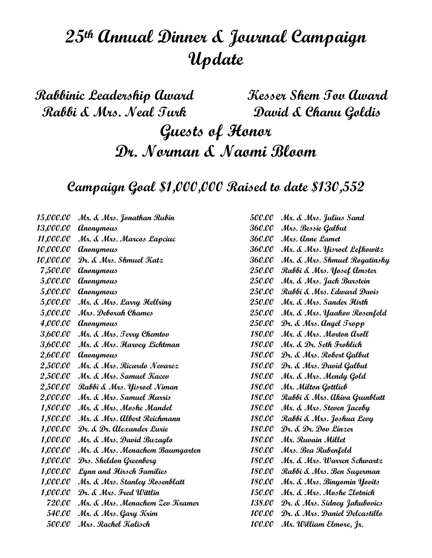## 25th Annual Dinner & Journal Campaign Update

Rabbinic Leadership Award Rabbi & Mrs. Neal Turk Kesser Shem Tov Award David & Chanu Goldis Guests of Honor Dr. Norman & Naomi Bloom

Campaign Goal \$1,000,000 Raised to date \$130,552

15,000.00 Mr. & Mrs. Jonathan Rubin 13,000.00 Anonymous 11,000.00 Mr. & Mrs. Marcos Lapciuc 10,000.00 Anonymous 10,000.00 Dr. & Mrs. Shmuel Katz 7,500.00 Anonymous 5,000.00 Anonymous 5,000.00 Anonymous 5,000.00 Mr. & Mrs. Larry Hellring 5,000.00 Mrs. Deborah Chames 4,000.00 Anonymous 3,600.00 Mr. & Mrs. Terry Chemtov 3,600.00 Mr. & Mrs. Harvey Lichtman 2,600.00 Anonymous 2,500.00 Mr. & Mrs. Ricardo Nevarez 2,500.00 Mr. & Mrs. Samuel Kacev 2,500.00 Rabbi & Mrs. Yisroel Niman 2,000.00 Mr. & Mrs. Samuel Harris 1,800.00 Mr. & Mrs. Moshe Mandel 1,800.00 Mr. & Mrs. Albert Reichmann 1,000.00 Dr. & Dr. Alexander Lurie 1,000.00 Mr. & Mrs. David Buzaglo 1,000.00 Mr. & Mrs. Menachem Baumgarten 1,000.00 Drs. Sheldon Greenberg 1,000.00 Lynn and Hirsch Families 1,000.00 Mr. & Mrs. Stanley Rosenblatt 1,000.00 Dr. & Mrs. Fred Wittlin 720.00 Mr. & Mrs. Menachem Zev Kramer 540.00 Mr. & Mrs. Gary Krim 500.00 Mrs. Rachel Kalisch

| <i><b>500.00</b></i> | Mr. & Mrs. Julius Sand        |
|----------------------|-------------------------------|
| 360.00               | Mrs. Bessie Galbut            |
| <i><b>360.00</b></i> | Mrs. Anne Lamet               |
| <i><b>360.00</b></i> | Mr. & Mrs. Yisroel Lefkowitz  |
| <i><b>360.00</b></i> | Mr. & Mrs. Shmuel Rogatinsky  |
| 250.00               | Rabbi & Mrs. Yosef Amster     |
| 250.00               | Mr. & Mrs. Jack Burstein      |
| 250.00               | Rabbi & Mrs. Edward Davis     |
| <i>250.00</i>        | Mr. & Mrs. Sander Hirth       |
| 250.00               | Mr. & Mrs. Yaakov Rosenfeld   |
| 250.00               | Dr. & Mrs. Angel Tropp        |
| <i>180.00</i>        | Mr. & Mrs. Morton aroll       |
| 180.00               | Mr. & Dr. Seth Frohlich       |
| <i>180.00</i>        | Dr. & Mrs. Robert Galbut      |
| <i>180.00</i>        | Dr. & Mrs. David Galbut       |
| <i>180.00</i>        | Mr. & Mrs. Mendy Gold         |
| 180.00               | Mr. Milton Gottlieb           |
| <i>180.00</i>        | Rabbi & Mrs. Akiva Grunblatt  |
| <i>180.00</i>        | Mr. & Mrs. Steven Jacoby      |
| 180.00               | Rabbi & Mrs. Joshua Levy      |
| 180.00               | Dr. & Dr. Dov Linzer          |
| 180.00               | Mr. Ruvain Millet             |
| <i>180.00</i>        | Mrs. Bea Rubenfeld            |
| <i>180.00</i>        | Mr. & Mrs. Warren Schwartz    |
| <i>180.00</i>        | Rabbi & Mrs. Ben Sugerman     |
| <i>180.00</i>        | Mr. & Mrs. Binyomin Yovits    |
| <i>150.00</i>        | Mr. & Mrs. Moshe Zlotnick     |
| 138.00               | Dr. & Mrs. Sidney Jakubovics  |
| 100.00               | Dr. & Mrs. Daniel Delcastillo |
| 100.00               | Mr. William Elmore, Jr.       |